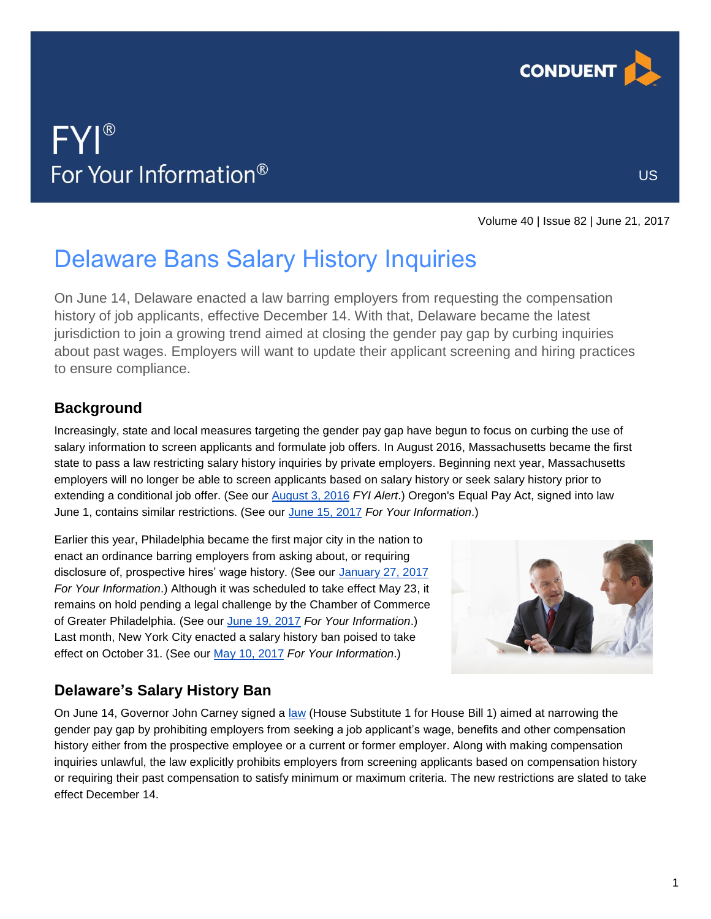

US

# FYI® For Your Information®

Volume 40 | Issue 82 | June 21, 2017

## Delaware Bans Salary History Inquiries

On June 14, Delaware enacted a law barring employers from requesting the compensation history of job applicants, effective December 14. With that, Delaware became the latest jurisdiction to join a growing trend aimed at closing the gender pay gap by curbing inquiries about past wages. Employers will want to update their applicant screening and hiring practices to ensure compliance.

### **Background**

Increasingly, state and local measures targeting the gender pay gap have begun to focus on curbing the use of salary information to screen applicants and formulate job offers. In August 2016, Massachusetts became the first state to pass a law restricting salary history inquiries by private employers. Beginning next year, Massachusetts employers will no longer be able to screen applicants based on salary history or seek salary history prior to extending a conditional job offer. (See our [August 3, 2016](https://analysis.hrservices.conduent.com/wp-content/uploads/sites/2/2016/08/hrc_fyi_Alert-2016-08-03.pdf) *FYI Alert*.) Oregon's Equal Pay Act, signed into law June 1, contains similar restrictions. (See our June [15, 2017](https://analysis.hrservices.conduent.com/2017/06/15/oregon-enacts-new-equal-pay-law/) *For Your Information*.)

Earlier this year, Philadelphia became the first major city in the nation to enact an ordinance barring employers from asking about, or requiring disclosure of, prospective hires' wage history. (See our [January 27, 2017](https://analysis.hrservices.conduent.com/2017/01/27/philadelphia-bars-salary-history-inquiries/) *For Your Information*.) Although it was scheduled to take effect May 23, it remains on hold pending a legal challenge by the Chamber of Commerce of Greater Philadelphia. (See our [June 19, 2017](https://analysis.hrservices.conduent.com/2017/06/19/challenge-to-philadelphia-wage-equity-law-on-again/) *For Your Information*.) Last month, New York City enacted a salary history ban poised to take effect on October 31. (See our [May 10, 2017](https://analysis.hrservices.conduent.com/2017/05/10/nyc-mayor-signs-salary-history-ban-into-law/) *For Your Information*.)



### **Delaware's Salary History Ban**

On June 14, Governor John Carney signed a [law](http://legis.delaware.gov/BillDetail?legislationId=25664) (House Substitute 1 for House Bill 1) aimed at narrowing the gender pay gap by prohibiting employers from seeking a job applicant's wage, benefits and other compensation history either from the prospective employee or a current or former employer. Along with making compensation inquiries unlawful, the law explicitly prohibits employers from screening applicants based on compensation history or requiring their past compensation to satisfy minimum or maximum criteria. The new restrictions are slated to take effect December 14.